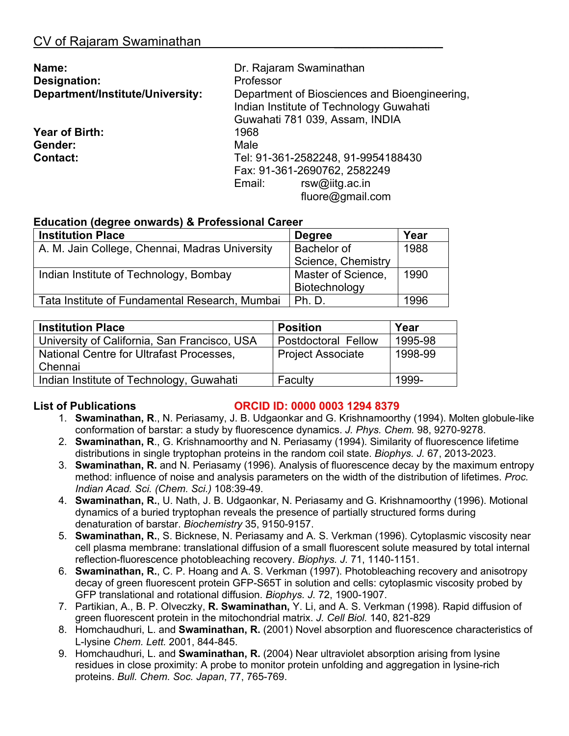| Name:                            | Dr. Rajaram Swaminathan                                                                                                    |  |
|----------------------------------|----------------------------------------------------------------------------------------------------------------------------|--|
| Designation:                     | Professor                                                                                                                  |  |
| Department/Institute/University: | Department of Biosciences and Bioengineering,<br>Indian Institute of Technology Guwahati<br>Guwahati 781 039, Assam, INDIA |  |
| Year of Birth:                   | 1968                                                                                                                       |  |
| Gender:                          | Male                                                                                                                       |  |
| <b>Contact:</b>                  | Tel: 91-361-2582248, 91-9954188430                                                                                         |  |
|                                  | Fax: 91-361-2690762, 2582249                                                                                               |  |
|                                  | Email:<br>$rsw@$ iitg.ac. in                                                                                               |  |
|                                  | fluore@gmail.com                                                                                                           |  |

# **Education (degree onwards) & Professional Career**

| <b>Institution Place</b>                       | <b>Degree</b>      | Year |
|------------------------------------------------|--------------------|------|
| A. M. Jain College, Chennai, Madras University | <b>Bachelor of</b> | 1988 |
|                                                | Science, Chemistry |      |
| Indian Institute of Technology, Bombay         | Master of Science, | 1990 |
|                                                | Biotechnology      |      |
| Tata Institute of Fundamental Research, Mumbai | Ph. D.             | 1996 |

| <b>Institution Place</b>                     | <b>Position</b>            | Year    |
|----------------------------------------------|----------------------------|---------|
| University of California, San Francisco, USA | <b>Postdoctoral Fellow</b> | 1995-98 |
| National Centre for Ultrafast Processes,     | <b>Project Associate</b>   | 1998-99 |
| Chennai                                      |                            |         |
| Indian Institute of Technology, Guwahati     | Faculty                    | 1999-   |

## **List of Publications ORCID ID: 0000 0003 1294 8379**

- 1. **Swaminathan, R**., N. Periasamy, J. B. Udgaonkar and G. Krishnamoorthy (1994). Molten globule-like conformation of barstar: a study by fluorescence dynamics. *J. Phys. Chem.* 98, 9270-9278.
- 2. **Swaminathan, R**., G. Krishnamoorthy and N. Periasamy (1994). Similarity of fluorescence lifetime distributions in single tryptophan proteins in the random coil state. *Biophys. J.* 67, 2013-2023.
- 3. **Swaminathan, R.** and N. Periasamy (1996). Analysis of fluorescence decay by the maximum entropy method: influence of noise and analysis parameters on the width of the distribution of lifetimes. *Proc. Indian Acad. Sci. (Chem. Sci.)* 108:39-49.
- 4. **Swaminathan, R.**, U. Nath, J. B. Udgaonkar, N. Periasamy and G. Krishnamoorthy (1996). Motional dynamics of a buried tryptophan reveals the presence of partially structured forms during denaturation of barstar. *Biochemistry* 35, 9150-9157.
- 5. **Swaminathan, R.**, S. Bicknese, N. Periasamy and A. S. Verkman (1996). Cytoplasmic viscosity near cell plasma membrane: translational diffusion of a small fluorescent solute measured by total internal reflection-fluorescence photobleaching recovery. *Biophys. J.* 71, 1140-1151.
- 6. **Swaminathan, R.**, C. P. Hoang and A. S. Verkman (1997). Photobleaching recovery and anisotropy decay of green fluorescent protein GFP-S65T in solution and cells: cytoplasmic viscosity probed by GFP translational and rotational diffusion. *Biophys. J.* 72, 1900-1907.
- 7. Partikian, A., B. P. Olveczky, **R. Swaminathan,** Y. Li, and A. S. Verkman (1998). Rapid diffusion of green fluorescent protein in the mitochondrial matrix. *J. Cell Biol.* 140, 821-829
- 8. Homchaudhuri, L. and **Swaminathan, R.** (2001) Novel absorption and fluorescence characteristics of L-lysine *Chem. Lett.* 2001, 844-845.
- 9. Homchaudhuri, L. and **Swaminathan, R.** (2004) Near ultraviolet absorption arising from lysine residues in close proximity: A probe to monitor protein unfolding and aggregation in lysine-rich proteins. *Bull. Chem. Soc. Japan*, 77, 765-769.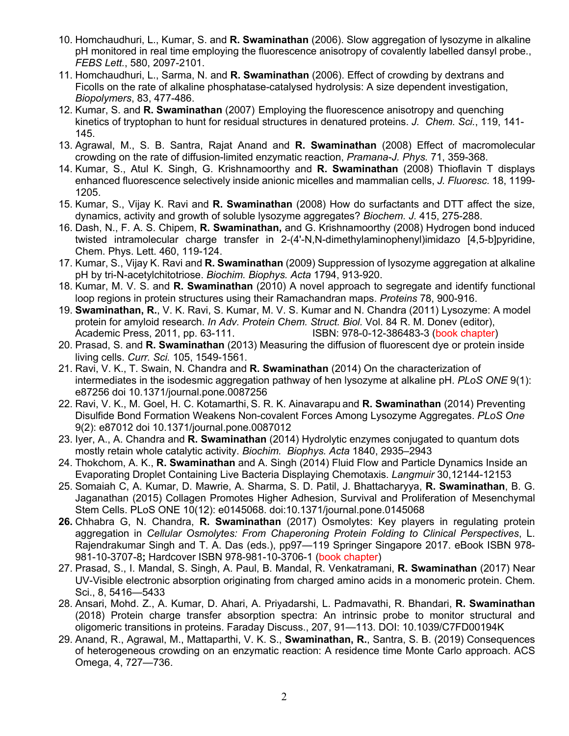- 10. Homchaudhuri, L., Kumar, S. and **R. Swaminathan** (2006). Slow aggregation of lysozyme in alkaline pH monitored in real time employing the fluorescence anisotropy of covalently labelled dansyl probe., *FEBS Lett.*, 580, 2097-2101.
- 11. Homchaudhuri, L., Sarma, N. and **R. Swaminathan** (2006). Effect of crowding by dextrans and Ficolls on the rate of alkaline phosphatase-catalysed hydrolysis: A size dependent investigation, *Biopolymers*, 83, 477-486.
- 12. Kumar, S. and **R. Swaminathan** (2007) Employing the fluorescence anisotropy and quenching kinetics of tryptophan to hunt for residual structures in denatured proteins. *J. Chem. Sci.*, 119, 141- 145.
- 13. Agrawal, M., S. B. Santra, Rajat Anand and **R. Swaminathan** (2008) Effect of macromolecular crowding on the rate of diffusion-limited enzymatic reaction, *Pramana-J. Phys.* 71, 359-368.
- 14. Kumar, S., Atul K. Singh, G. Krishnamoorthy and **R. Swaminathan** (2008) Thioflavin T displays enhanced fluorescence selectively inside anionic micelles and mammalian cells, *J. Fluoresc.* 18, 1199- 1205.
- 15. Kumar, S., Vijay K. Ravi and **R. Swaminathan** (2008) How do surfactants and DTT affect the size, dynamics, activity and growth of soluble lysozyme aggregates? *Biochem. J.* 415, 275-288.
- 16. Dash, N., F. A. S. Chipem, **R. Swaminathan,** and G. Krishnamoorthy (2008) Hydrogen bond induced twisted intramolecular charge transfer in 2-(4'-N,N-dimethylaminophenyl)imidazo [4,5-b]pyridine, Chem. Phys. Lett. 460, 119-124.
- 17. Kumar, S., Vijay K. Ravi and **R. Swaminathan** (2009) Suppression of lysozyme aggregation at alkaline pH by tri-N-acetylchitotriose. *Biochim. Biophys. Acta* 1794, 913-920.
- 18. Kumar, M. V. S. and **R. Swaminathan** (2010) A novel approach to segregate and identify functional loop regions in protein structures using their Ramachandran maps. *Proteins* 78, 900-916.
- 19. **Swaminathan, R.**, V. K. Ravi, S. Kumar, M. V. S. Kumar and N. Chandra (2011) Lysozyme: A model protein for amyloid research. *In Adv. Protein Chem. Struct. Biol.* Vol. 84 R. M. Donev (editor), Academic Press, 2011, pp. 63-111. **ISBN: 978-0-12-386483-3 (book chapter)**
- 20. Prasad, S. and **R. Swaminathan** (2013) Measuring the diffusion of fluorescent dye or protein inside living cells. *Curr. Sci.* 105, 1549-1561.
- 21. Ravi, V. K., T. Swain, N. Chandra and **R. Swaminathan** (2014) On the characterization of intermediates in the isodesmic aggregation pathway of hen lysozyme at alkaline pH. *PLoS ONE* 9(1): e87256 doi 10.1371/journal.pone.0087256
- 22. Ravi, V. K., M. Goel, H. C. Kotamarthi, S. R. K. Ainavarapu and **R. Swaminathan** (2014) Preventing Disulfide Bond Formation Weakens Non-covalent Forces Among Lysozyme Aggregates. *PLoS One* 9(2): e87012 doi 10.1371/journal.pone.0087012
- 23. Iyer, A., A. Chandra and **R. Swaminathan** (2014) Hydrolytic enzymes conjugated to quantum dots mostly retain whole catalytic activity. *Biochim. Biophys. Acta* 1840, 2935–2943
- 24. Thokchom, A. K., **R. Swaminathan** and A. Singh (2014) Fluid Flow and Particle Dynamics Inside an Evaporating Droplet Containing Live Bacteria Displaying Chemotaxis. *Langmuir* 30,12144-12153
- 25. Somaiah C, A. Kumar, D. Mawrie, A. Sharma, S. D. Patil, J. Bhattacharyya, **R. Swaminathan**, B. G. Jaganathan (2015) Collagen Promotes Higher Adhesion, Survival and Proliferation of Mesenchymal Stem Cells. PLoS ONE 10(12): e0145068. doi:10.1371/journal.pone.0145068
- **26.** Chhabra G, N. Chandra, **R. Swaminathan** (2017) Osmolytes: Key players in regulating protein aggregation in *Cellular Osmolytes: From Chaperoning Protein Folding to Clinical Perspectives*, L. Rajendrakumar Singh and T. A. Das (eds.), pp97—119 Springer Singapore 2017. eBook ISBN 978- 981-10-3707-8**;** Hardcover ISBN 978-981-10-3706-1 (book chapter)
- 27. Prasad, S., I. Mandal, S. Singh, A. Paul, B. Mandal, R. Venkatramani, **R. Swaminathan** (2017) Near UV-Visible electronic absorption originating from charged amino acids in a monomeric protein. Chem. Sci., 8, 5416—5433
- 28. Ansari, Mohd. Z., A. Kumar, D. Ahari, A. Priyadarshi, L. Padmavathi, R. Bhandari, **R. Swaminathan** (2018) Protein charge transfer absorption spectra: An intrinsic probe to monitor structural and oligomeric transitions in proteins. Faraday Discuss., 207, 91—113. DOI: 10.1039/C7FD00194K
- 29. Anand, R., Agrawal, M., Mattaparthi, V. K. S., **Swaminathan, R.**, Santra, S. B. (2019) Consequences of heterogeneous crowding on an enzymatic reaction: A residence time Monte Carlo approach. ACS Omega, 4, 727—736.